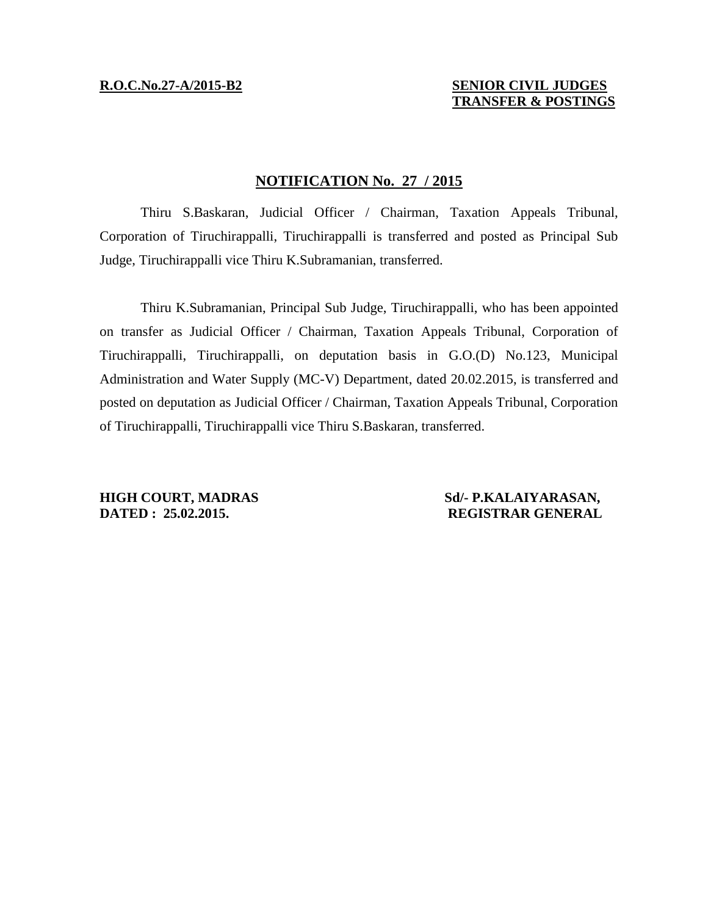# **R.O.C.No.27-A/2015-B2 SENIOR CIVIL JUDGES TRANSFER & POSTINGS**

# **NOTIFICATION No. 27 / 2015**

Thiru S.Baskaran, Judicial Officer / Chairman, Taxation Appeals Tribunal, Corporation of Tiruchirappalli, Tiruchirappalli is transferred and posted as Principal Sub Judge, Tiruchirappalli vice Thiru K.Subramanian, transferred.

Thiru K.Subramanian, Principal Sub Judge, Tiruchirappalli, who has been appointed on transfer as Judicial Officer / Chairman, Taxation Appeals Tribunal, Corporation of Tiruchirappalli, Tiruchirappalli, on deputation basis in G.O.(D) No.123, Municipal Administration and Water Supply (MC-V) Department, dated 20.02.2015, is transferred and posted on deputation as Judicial Officer / Chairman, Taxation Appeals Tribunal, Corporation of Tiruchirappalli, Tiruchirappalli vice Thiru S.Baskaran, transferred.

**HIGH COURT, MADRAS Sd/- P.KALAIYARASAN, DATED : 25.02.2015. REGISTRAR GENERAL**